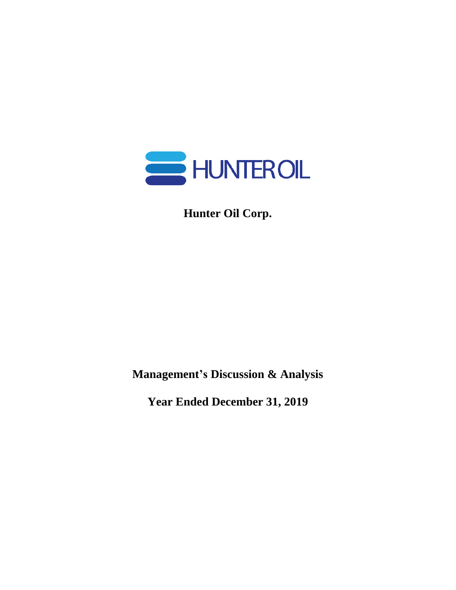

**Hunter Oil Corp.**

**Management's Discussion & Analysis**

**Year Ended December 31, 2019**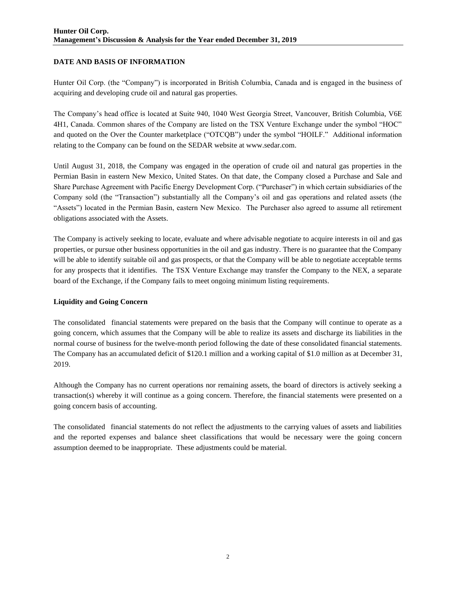# **DATE AND BASIS OF INFORMATION**

Hunter Oil Corp. (the "Company") is incorporated in British Columbia, Canada and is engaged in the business of acquiring and developing crude oil and natural gas properties.

The Company's head office is located at Suite 940, 1040 West Georgia Street, Vancouver, British Columbia, V6E 4H1, Canada. Common shares of the Company are listed on the TSX Venture Exchange under the symbol "HOC" and quoted on the Over the Counter marketplace ("OTCQB") under the symbol "HOILF." Additional information relating to the Company can be found on the SEDAR website at www.sedar.com.

Until August 31, 2018, the Company was engaged in the operation of crude oil and natural gas properties in the Permian Basin in eastern New Mexico, United States. On that date, the Company closed a Purchase and Sale and Share Purchase Agreement with Pacific Energy Development Corp. ("Purchaser") in which certain subsidiaries of the Company sold (the "Transaction") substantially all the Company's oil and gas operations and related assets (the "Assets") located in the Permian Basin, eastern New Mexico. The Purchaser also agreed to assume all retirement obligations associated with the Assets.

The Company is actively seeking to locate, evaluate and where advisable negotiate to acquire interests in oil and gas properties, or pursue other business opportunities in the oil and gas industry. There is no guarantee that the Company will be able to identify suitable oil and gas prospects, or that the Company will be able to negotiate acceptable terms for any prospects that it identifies. The TSX Venture Exchange may transfer the Company to the NEX, a separate board of the Exchange, if the Company fails to meet ongoing minimum listing requirements.

## **Liquidity and Going Concern**

The consolidated financial statements were prepared on the basis that the Company will continue to operate as a going concern, which assumes that the Company will be able to realize its assets and discharge its liabilities in the normal course of business for the twelve-month period following the date of these consolidated financial statements. The Company has an accumulated deficit of \$120.1 million and a working capital of \$1.0 million as at December 31, 2019.

Although the Company has no current operations nor remaining assets, the board of directors is actively seeking a transaction(s) whereby it will continue as a going concern. Therefore, the financial statements were presented on a going concern basis of accounting.

The consolidated financial statements do not reflect the adjustments to the carrying values of assets and liabilities and the reported expenses and balance sheet classifications that would be necessary were the going concern assumption deemed to be inappropriate. These adjustments could be material.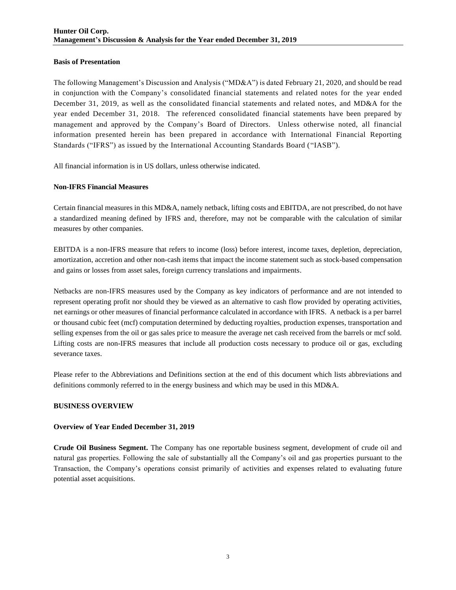## **Basis of Presentation**

The following Management's Discussion and Analysis ("MD&A") is dated February 21, 2020, and should be read in conjunction with the Company's consolidated financial statements and related notes for the year ended December 31, 2019, as well as the consolidated financial statements and related notes, and MD&A for the year ended December 31, 2018. The referenced consolidated financial statements have been prepared by management and approved by the Company's Board of Directors. Unless otherwise noted, all financial information presented herein has been prepared in accordance with International Financial Reporting Standards ("IFRS") as issued by the International Accounting Standards Board ("IASB").

All financial information is in US dollars, unless otherwise indicated.

# **Non-IFRS Financial Measures**

Certain financial measures in this MD&A, namely netback, lifting costs and EBITDA, are not prescribed, do not have a standardized meaning defined by IFRS and, therefore, may not be comparable with the calculation of similar measures by other companies.

EBITDA is a non-IFRS measure that refers to income (loss) before interest, income taxes, depletion, depreciation, amortization, accretion and other non-cash items that impact the income statement such as stock-based compensation and gains or losses from asset sales, foreign currency translations and impairments.

Netbacks are non-IFRS measures used by the Company as key indicators of performance and are not intended to represent operating profit nor should they be viewed as an alternative to cash flow provided by operating activities, net earnings or other measures of financial performance calculated in accordance with IFRS. A netback is a per barrel or thousand cubic feet (mcf) computation determined by deducting royalties, production expenses, transportation and selling expenses from the oil or gas sales price to measure the average net cash received from the barrels or mcf sold. Lifting costs are non-IFRS measures that include all production costs necessary to produce oil or gas, excluding severance taxes.

Please refer to the Abbreviations and Definitions section at the end of this document which lists abbreviations and definitions commonly referred to in the energy business and which may be used in this MD&A.

# **BUSINESS OVERVIEW**

## **Overview of Year Ended December 31, 2019**

**Crude Oil Business Segment.** The Company has one reportable business segment, development of crude oil and natural gas properties. Following the sale of substantially all the Company's oil and gas properties pursuant to the Transaction, the Company's operations consist primarily of activities and expenses related to evaluating future potential asset acquisitions.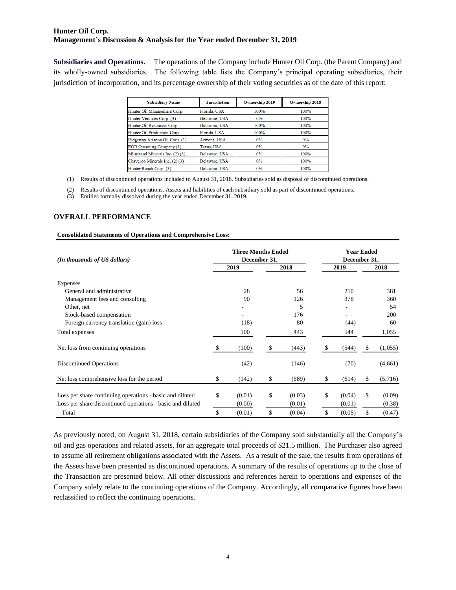**Subsidiaries and Operations.** The operations of the Company include Hunter Oil Corp. (the Parent Company) and its wholly-owned subsidiaries. The following table lists the Company's principal operating subsidiaries, their jurisdiction of incorporation, and its percentage ownership of their voting securities as of the date of this report:

| <b>Subsidiary Name</b>           | <b>Jurisdiction</b> | <b>Ownership 2019</b> | <b>Ownership 2018</b> |
|----------------------------------|---------------------|-----------------------|-----------------------|
| Hunter Oil Management Corp.      | Florida, USA        | 100%                  | 100%                  |
| Hunter Ventures Corp. (3)        | Delaware, USA       | $0\%$                 | 100%                  |
| Hunter Oil Resources Corp.       | Delaware, USA       | 100%                  | 100%                  |
| Hunter Oil Production Corp.      | Florida, USA        | 100%                  | 100%                  |
| Ridgeway Arizona Oil Corp. (1)   | Arizona, USA        | $0\%$                 | 0%                    |
| <b>EOR Operating Company (1)</b> | Texas, USA          | $0\%$                 | $0\%$                 |
| Milnesand Minerals Inc. (2) (3)  | Delaware, USA       | $0\%$                 | 100%                  |
| Chaveroo Minerals Inc. (2)(3)    | Delaware, USA       | $0\%$                 | 100%                  |
| Hunter Ranch Corp. (3)           | Delaware, USA       | $0\%$                 | 100%                  |

(1) Results of discontinued operations included to August 31, 2018. Subsidiaries sold as disposal of discontinued operations.

(2) Results of discontinued operations. Assets and liabilities of each subsidiary sold as part of discontinued operations.

(3) Entities formally dissolved during the year ended December 31, 2019.

### **OVERALL PERFORMANCE**

#### **Consolidated Statements of Operations and Comprehensive Loss:**

| (In thousands of US dollars)                               |    | <b>Three Months Ended</b><br>December 31, |    | <b>Year Ended</b><br>December 31, |    |        |    |         |  |
|------------------------------------------------------------|----|-------------------------------------------|----|-----------------------------------|----|--------|----|---------|--|
|                                                            |    | 2019                                      |    | 2018                              |    | 2019   |    | 2018    |  |
| Expenses                                                   |    |                                           |    |                                   |    |        |    |         |  |
| General and administrative                                 |    | 28                                        |    | 56                                |    | 210    |    | 381     |  |
| Management fees and consulting                             |    | 90                                        |    | 126                               |    | 378    |    | 360     |  |
| Other, net                                                 |    | ۰                                         |    | 5                                 |    |        | 54 |         |  |
| Stock-based compensation                                   |    |                                           |    | 176                               |    |        |    | 200     |  |
| Foreign currency translation (gain) loss                   |    | (18)                                      |    | 80                                |    | (44)   |    | 60      |  |
| Total expenses                                             |    | 100                                       |    | 443                               |    | 544    |    | 1,055   |  |
| Net loss from continuing operations                        | S  | (100)                                     | \$ | (443)                             | -S | (544)  | S  | (1,055) |  |
| <b>Discontinued Operations</b>                             |    | (42)                                      |    | (146)                             |    | (70)   |    | (4,661) |  |
| Net loss comprehensive loss for the period                 | \$ | (142)                                     | \$ | (589)                             | \$ | (614)  | \$ | (5,716) |  |
| Loss per share continuing operations - basic and diluted   | \$ | (0.01)                                    | \$ | (0.03)                            | \$ | (0.04) | \$ | (0.09)  |  |
| Loss per share discontinued operations - basic and diluted |    | (0.00)                                    |    | (0.01)                            |    | (0.01) |    | (0.38)  |  |
| Total                                                      | \$ | (0.01)                                    | \$ | (0.04)                            | \$ | (0.05) | \$ | (0.47)  |  |

As previously noted, on August 31, 2018, certain subsidiaries of the Company sold substantially all the Company's oil and gas operations and related assets, for an aggregate total proceeds of \$21.5 million. The Purchaser also agreed to assume all retirement obligations associated with the Assets. As a result of the sale, the results from operations of the Assets have been presented as discontinued operations. A summary of the results of operations up to the close of the Transaction are presented below. All other discussions and references herein to operations and expenses of the Company solely relate to the continuing operations of the Company. Accordingly, all comparative figures have been reclassified to reflect the continuing operations.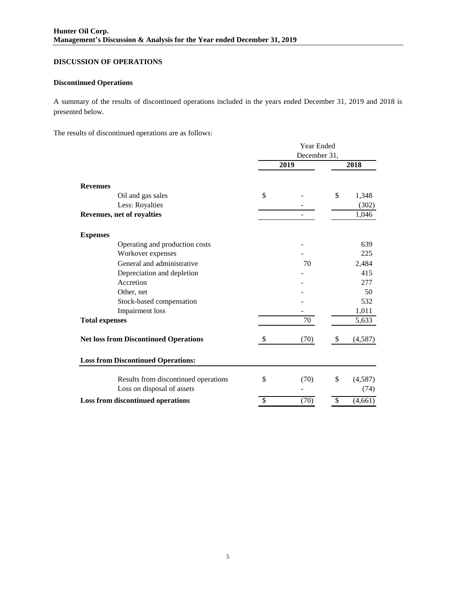# **DISCUSSION OF OPERATIONS**

# **Discontinued Operations**

A summary of the results of discontinued operations included in the years ended December 31, 2019 and 2018 is presented below.

The results of discontinued operations are as follows:

|                                              | Year Ended               |      |                          |         |  |
|----------------------------------------------|--------------------------|------|--------------------------|---------|--|
|                                              | December 31,             |      |                          |         |  |
|                                              |                          | 2019 |                          | 2018    |  |
| <b>Revenues</b>                              |                          |      |                          |         |  |
| Oil and gas sales                            | \$                       |      | \$                       | 1,348   |  |
| Less: Royalties                              |                          |      |                          | (302)   |  |
| Revenues, net of royalties                   |                          |      |                          | 1,046   |  |
| <b>Expenses</b>                              |                          |      |                          |         |  |
| Operating and production costs               |                          |      |                          | 639     |  |
| Workover expenses                            |                          |      |                          | 225     |  |
| General and administrative                   |                          | 70   |                          | 2,484   |  |
| Depreciation and depletion                   |                          |      |                          | 415     |  |
| Accretion                                    |                          |      |                          | 277     |  |
| Other, net                                   |                          |      |                          | 50      |  |
| Stock-based compensation                     |                          |      |                          | 532     |  |
| <b>Impairment</b> loss                       |                          |      |                          | 1,011   |  |
| <b>Total expenses</b>                        |                          | 70   |                          | 5,633   |  |
| <b>Net loss from Discontinued Operations</b> | \$                       | (70) | \$                       | (4,587) |  |
| <b>Loss from Discontinued Operations:</b>    |                          |      |                          |         |  |
| Results from discontinued operations         | \$                       | (70) | \$                       | (4,587) |  |
| Loss on disposal of assets                   |                          |      |                          | (74)    |  |
| Loss from discontinued operations            | $\overline{\mathcal{S}}$ | (70) | $\overline{\mathcal{S}}$ | (4,661) |  |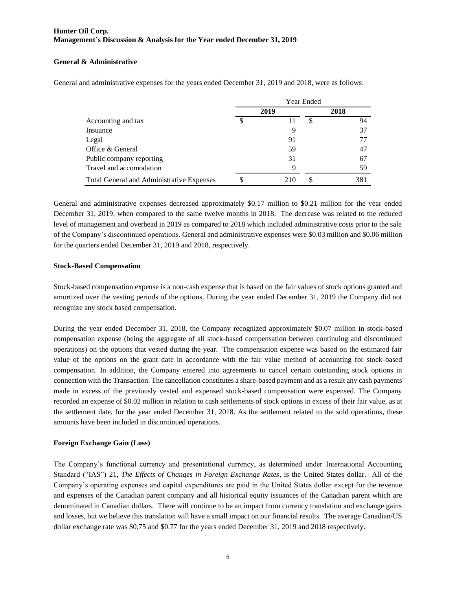# **General & Administrative**

General and administrative expenses for the years ended December 31, 2019 and 2018, were as follows:

|                                           | Year Ended |      |   |      |  |  |
|-------------------------------------------|------------|------|---|------|--|--|
|                                           |            | 2019 |   | 2018 |  |  |
| Accounting and tax                        | \$         |      | S | 94   |  |  |
| Insuance                                  |            | 9    |   | 37   |  |  |
| Legal                                     |            | 91   |   |      |  |  |
| Office & General                          |            | 59   |   | 47   |  |  |
| Public company reporting                  |            | 31   |   | 67   |  |  |
| Travel and accomodation                   |            | 9    |   | 59   |  |  |
| Total General and Administrative Expenses |            | 210  |   | 381  |  |  |

General and administrative expenses decreased approximately \$0.17 million to \$0.21 million for the year ended December 31, 2019, when compared to the same twelve months in 2018. The decrease was related to the reduced level of management and overhead in 2019 as compared to 2018 which included administrative costs prior to the sale of the Company's discontinued operations. General and administrative expenses were \$0.03 million and \$0.06 million for the quarters ended December 31, 2019 and 2018, respectively.

### **Stock-Based Compensation**

Stock-based compensation expense is a non-cash expense that is based on the fair values of stock options granted and amortized over the vesting periods of the options. During the year ended December 31, 2019 the Company did not recognize any stock based compensation.

During the year ended December 31, 2018, the Company recognized approximately \$0.07 million in stock-based compensation expense (being the aggregate of all stock-based compensation between continuing and discontinued operations) on the options that vested during the year. The compensation expense was based on the estimated fair value of the options on the grant date in accordance with the fair value method of accounting for stock-based compensation. In addition, the Company entered into agreements to cancel certain outstanding stock options in connection with the Transaction. The cancellation constitutes a share-based payment and as a result any cash payments made in excess of the previously vested and expensed stock-based compensation were expensed. The Company recorded an expense of \$0.02 million in relation to cash settlements of stock options in excess of their fair value, as at the settlement date, for the year ended December 31, 2018. As the settlement related to the sold operations, these amounts have been included in discontinued operations.

## **Foreign Exchange Gain (Loss)**

The Company's functional currency and presentational currency, as determined under International Accounting Standard ("IAS") 21, *The Effects of Changes in Foreign Exchange Rates*, is the United States dollar. All of the Company's operating expenses and capital expenditures are paid in the United States dollar except for the revenue and expenses of the Canadian parent company and all historical equity issuances of the Canadian parent which are denominated in Canadian dollars. There will continue to be an impact from currency translation and exchange gains and losses, but we believe this translation will have a small impact on our financial results. The average Canadian/US dollar exchange rate was \$0.75 and \$0.77 for the years ended December 31, 2019 and 2018 respectively.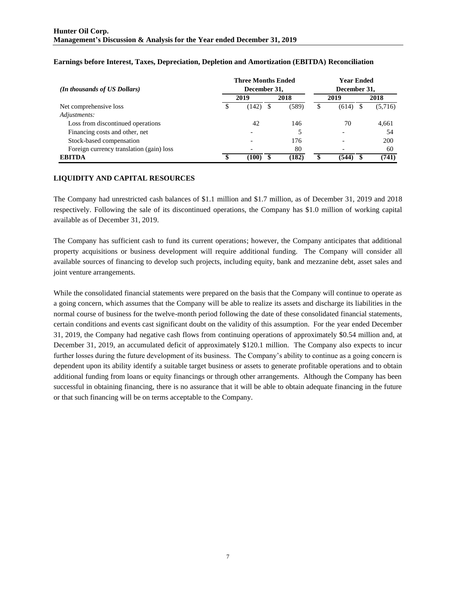|                                          |  | <b>Three Months Ended</b> | <b>Year Ended</b> |       |              |       |  |         |  |  |
|------------------------------------------|--|---------------------------|-------------------|-------|--------------|-------|--|---------|--|--|
| (In thousands of US Dollars)             |  | December 31,              |                   |       | December 31, |       |  |         |  |  |
|                                          |  | 2019                      |                   | 2018  |              | 2019  |  | 2018    |  |  |
| Net comprehensive loss                   |  | (142)                     | S                 | (589) |              | (614) |  | (5,716) |  |  |
| Adjustments:                             |  |                           |                   |       |              |       |  |         |  |  |
| Loss from discontinued operations        |  | 42                        |                   | 146   |              | 70    |  | 4,661   |  |  |
| Financing costs and other, net           |  | $\overline{\phantom{a}}$  |                   |       |              |       |  | 54      |  |  |
| Stock-based compensation                 |  | $\overline{\phantom{0}}$  |                   | 176   |              |       |  | 200     |  |  |
| Foreign currency translation (gain) loss |  |                           |                   | 80    |              |       |  | 60      |  |  |
| EBITDA                                   |  | (100)                     |                   | (182) |              | (544) |  | (741)   |  |  |

# **Earnings before Interest, Taxes, Depreciation, Depletion and Amortization (EBITDA) Reconciliation**

# **LIQUIDITY AND CAPITAL RESOURCES**

The Company had unrestricted cash balances of \$1.1 million and \$1.7 million, as of December 31, 2019 and 2018 respectively. Following the sale of its discontinued operations, the Company has \$1.0 million of working capital available as of December 31, 2019.

The Company has sufficient cash to fund its current operations; however, the Company anticipates that additional property acquisitions or business development will require additional funding. The Company will consider all available sources of financing to develop such projects, including equity, bank and mezzanine debt, asset sales and joint venture arrangements.

While the consolidated financial statements were prepared on the basis that the Company will continue to operate as a going concern, which assumes that the Company will be able to realize its assets and discharge its liabilities in the normal course of business for the twelve-month period following the date of these consolidated financial statements, certain conditions and events cast significant doubt on the validity of this assumption. For the year ended December 31, 2019, the Company had negative cash flows from continuing operations of approximately \$0.54 million and, at December 31, 2019, an accumulated deficit of approximately \$120.1 million. The Company also expects to incur further losses during the future development of its business. The Company's ability to continue as a going concern is dependent upon its ability identify a suitable target business or assets to generate profitable operations and to obtain additional funding from loans or equity financings or through other arrangements. Although the Company has been successful in obtaining financing, there is no assurance that it will be able to obtain adequate financing in the future or that such financing will be on terms acceptable to the Company.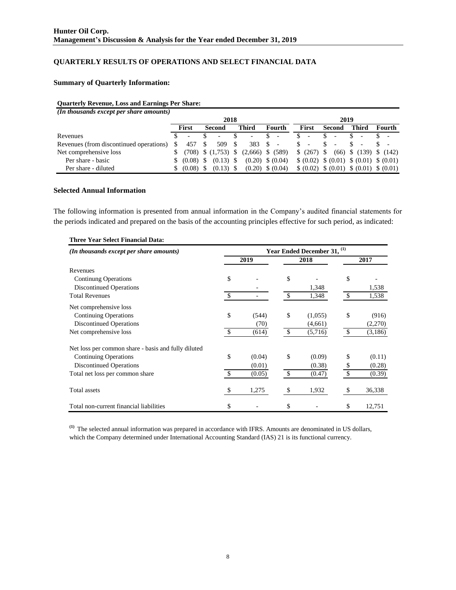# **QUARTERLY RESULTS OF OPERATIONS AND SELECT FINANCIAL DATA**

# **Summary of Quarterly Information:**

### **Quarterly Revenue, Loss and Earnings Per Share:**

| (In thousands except per share amounts) |       |                          |        |                          |      |                          |  |                          |       |                                            |        |                          |       |                              |        |  |
|-----------------------------------------|-------|--------------------------|--------|--------------------------|------|--------------------------|--|--------------------------|-------|--------------------------------------------|--------|--------------------------|-------|------------------------------|--------|--|
|                                         |       |                          |        | 2018                     |      |                          |  |                          |       |                                            |        | 2019                     |       |                              |        |  |
|                                         | First |                          | Second |                          |      | Third                    |  | Fourth                   | First |                                            | Second |                          | Third |                              | Fourth |  |
| Revenues                                |       | $\overline{\phantom{a}}$ |        | $\overline{\phantom{0}}$ |      | $\overline{\phantom{a}}$ |  | $\overline{\phantom{a}}$ |       |                                            | S      | $\overline{\phantom{a}}$ |       |                              |        |  |
| Revenues (from discontinued operations) |       | 457                      |        | 509                      | - \$ | 383 \$                   |  | $\overline{\phantom{a}}$ | S     |                                            | S      |                          |       |                              |        |  |
| Net comprehensive loss                  |       |                          |        | $(708)$ \$ $(1,753)$ \$  |      | $(2,666)$ \$ $(589)$     |  |                          |       | \$ (267) \$                                |        |                          |       | $(66)$ \$ $(139)$ \$ $(142)$ |        |  |
| Per share - basic                       |       | \$ (0.08)                | \$.    | $(0.13)$ \$              |      | $(0.20)$ \$ $(0.04)$     |  |                          |       | $$ (0.02) \$ (0.01) \$ (0.01) \$ (0.01)$   |        |                          |       |                              |        |  |
| Per share - diluted                     |       | \$ (0.08)                |        | $(0.13)$ \$              |      | $(0.20)$ \$ $(0.04)$     |  |                          |       | \$ (0.02) \$ (0.01) \$ (0.01) \$ (0.01) \$ |        |                          |       |                              |        |  |

### **Selected Annual Information**

The following information is presented from annual information in the Company's audited financial statements for the periods indicated and prepared on the basis of the accounting principles effective for such period, as indicated:

| (In thousands except per share amounts)             | Year Ended December 31, <sup>(1)</sup> |        |              |         |    |         |  |  |  |  |  |
|-----------------------------------------------------|----------------------------------------|--------|--------------|---------|----|---------|--|--|--|--|--|
|                                                     |                                        | 2019   |              | 2018    |    | 2017    |  |  |  |  |  |
| Revenues                                            |                                        |        |              |         |    |         |  |  |  |  |  |
| <b>Continung Operations</b>                         | \$                                     |        | \$           |         | \$ |         |  |  |  |  |  |
| <b>Discontinued Operations</b>                      |                                        |        |              | 1,348   |    | 1,538   |  |  |  |  |  |
| <b>Total Revenues</b>                               | -S                                     |        | \$           | 1,348   | \$ | 1,538   |  |  |  |  |  |
| Net comprehensive loss                              |                                        |        |              |         |    |         |  |  |  |  |  |
| <b>Continuing Operations</b>                        | \$                                     | (544)  | \$           | (1,055) | \$ | (916)   |  |  |  |  |  |
| <b>Discontinued Operations</b>                      |                                        | (70)   |              | (4,661) |    | (2,270) |  |  |  |  |  |
| Net comprehensive loss                              | <sup>S</sup>                           | (614)  | \$           | (5,716) | \$ | (3,186) |  |  |  |  |  |
| Net loss per common share - basis and fully diluted |                                        |        |              |         |    |         |  |  |  |  |  |
| <b>Continuing Operations</b>                        | \$                                     | (0.04) | \$           | (0.09)  | \$ | (0.11)  |  |  |  |  |  |
| <b>Discontinued Operations</b>                      |                                        | (0.01) |              | (0.38)  | \$ | (0.28)  |  |  |  |  |  |
| Total net loss per common share                     | <sup>\$</sup>                          | (0.05) | $\mathbb{S}$ | (0.47)  | \$ | (0.39)  |  |  |  |  |  |
| Total assets                                        | \$                                     | 1,275  | \$           | 1,932   | \$ | 36,338  |  |  |  |  |  |
| Total non-current financial liabilities             | \$                                     |        | \$           |         | \$ | 12,751  |  |  |  |  |  |

# **Three Year Select Financial Data:**

**(1)** The selected annual information was prepared in accordance with IFRS. Amounts are denominated in US dollars, which the Company determined under International Accounting Standard (IAS) 21 is its functional currency.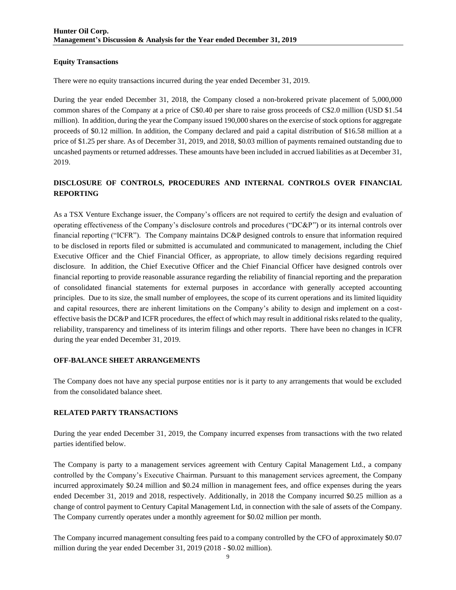## **Equity Transactions**

There were no equity transactions incurred during the year ended December 31, 2019.

During the year ended December 31, 2018, the Company closed a non-brokered private placement of 5,000,000 common shares of the Company at a price of C\$0.40 per share to raise gross proceeds of C\$2.0 million (USD \$1.54 million). In addition, during the year the Company issued 190,000 shares on the exercise of stock options for aggregate proceeds of \$0.12 million. In addition, the Company declared and paid a capital distribution of \$16.58 million at a price of \$1.25 per share. As of December 31, 2019, and 2018, \$0.03 million of payments remained outstanding due to uncashed payments or returned addresses. These amounts have been included in accrued liabilities as at December 31, 2019.

# **DISCLOSURE OF CONTROLS, PROCEDURES AND INTERNAL CONTROLS OVER FINANCIAL REPORTING**

As a TSX Venture Exchange issuer, the Company's officers are not required to certify the design and evaluation of operating effectiveness of the Company's disclosure controls and procedures ("DC&P") or its internal controls over financial reporting ("ICFR"). The Company maintains DC&P designed controls to ensure that information required to be disclosed in reports filed or submitted is accumulated and communicated to management, including the Chief Executive Officer and the Chief Financial Officer, as appropriate, to allow timely decisions regarding required disclosure. In addition, the Chief Executive Officer and the Chief Financial Officer have designed controls over financial reporting to provide reasonable assurance regarding the reliability of financial reporting and the preparation of consolidated financial statements for external purposes in accordance with generally accepted accounting principles. Due to its size, the small number of employees, the scope of its current operations and its limited liquidity and capital resources, there are inherent limitations on the Company's ability to design and implement on a costeffective basis the DC&P and ICFR procedures, the effect of which may result in additional risks related to the quality, reliability, transparency and timeliness of its interim filings and other reports. There have been no changes in ICFR during the year ended December 31, 2019.

## **OFF-BALANCE SHEET ARRANGEMENTS**

The Company does not have any special purpose entities nor is it party to any arrangements that would be excluded from the consolidated balance sheet.

## **RELATED PARTY TRANSACTIONS**

During the year ended December 31, 2019, the Company incurred expenses from transactions with the two related parties identified below.

The Company is party to a management services agreement with Century Capital Management Ltd., a company controlled by the Company's Executive Chairman. Pursuant to this management services agreement, the Company incurred approximately \$0.24 million and \$0.24 million in management fees, and office expenses during the years ended December 31, 2019 and 2018, respectively. Additionally, in 2018 the Company incurred \$0.25 million as a change of control payment to Century Capital Management Ltd, in connection with the sale of assets of the Company. The Company currently operates under a monthly agreement for \$0.02 million per month.

The Company incurred management consulting fees paid to a company controlled by the CFO of approximately \$0.07 million during the year ended December 31, 2019 (2018 - \$0.02 million).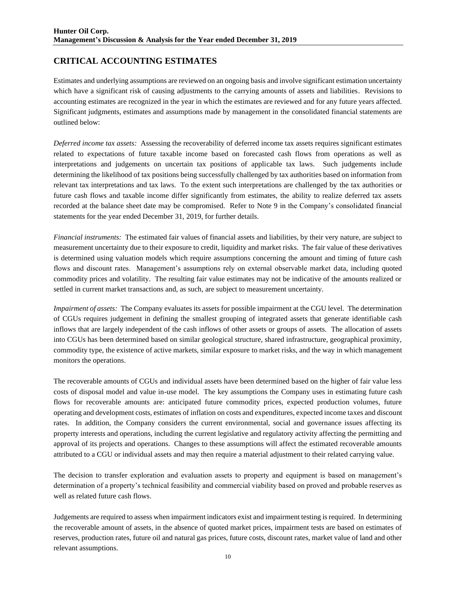# **CRITICAL ACCOUNTING ESTIMATES**

Estimates and underlying assumptions are reviewed on an ongoing basis and involve significant estimation uncertainty which have a significant risk of causing adjustments to the carrying amounts of assets and liabilities. Revisions to accounting estimates are recognized in the year in which the estimates are reviewed and for any future years affected. Significant judgments, estimates and assumptions made by management in the consolidated financial statements are outlined below:

*Deferred income tax assets:* Assessing the recoverability of deferred income tax assets requires significant estimates related to expectations of future taxable income based on forecasted cash flows from operations as well as interpretations and judgements on uncertain tax positions of applicable tax laws. Such judgements include determining the likelihood of tax positions being successfully challenged by tax authorities based on information from relevant tax interpretations and tax laws. To the extent such interpretations are challenged by the tax authorities or future cash flows and taxable income differ significantly from estimates, the ability to realize deferred tax assets recorded at the balance sheet date may be compromised. Refer to Note 9 in the Company's consolidated financial statements for the year ended December 31, 2019, for further details.

*Financial instruments:* The estimated fair values of financial assets and liabilities, by their very nature, are subject to measurement uncertainty due to their exposure to credit, liquidity and market risks. The fair value of these derivatives is determined using valuation models which require assumptions concerning the amount and timing of future cash flows and discount rates. Management's assumptions rely on external observable market data, including quoted commodity prices and volatility. The resulting fair value estimates may not be indicative of the amounts realized or settled in current market transactions and, as such, are subject to measurement uncertainty.

*Impairment of assets:* The Company evaluates its assets for possible impairment at the CGU level. The determination of CGUs requires judgement in defining the smallest grouping of integrated assets that generate identifiable cash inflows that are largely independent of the cash inflows of other assets or groups of assets. The allocation of assets into CGUs has been determined based on similar geological structure, shared infrastructure, geographical proximity, commodity type, the existence of active markets, similar exposure to market risks, and the way in which management monitors the operations.

The recoverable amounts of CGUs and individual assets have been determined based on the higher of fair value less costs of disposal model and value in-use model. The key assumptions the Company uses in estimating future cash flows for recoverable amounts are: anticipated future commodity prices, expected production volumes, future operating and development costs, estimates of inflation on costs and expenditures, expected income taxes and discount rates. In addition, the Company considers the current environmental, social and governance issues affecting its property interests and operations, including the current legislative and regulatory activity affecting the permitting and approval of its projects and operations. Changes to these assumptions will affect the estimated recoverable amounts attributed to a CGU or individual assets and may then require a material adjustment to their related carrying value.

The decision to transfer exploration and evaluation assets to property and equipment is based on management's determination of a property's technical feasibility and commercial viability based on proved and probable reserves as well as related future cash flows.

Judgements are required to assess when impairment indicators exist and impairment testing is required. In determining the recoverable amount of assets, in the absence of quoted market prices, impairment tests are based on estimates of reserves, production rates, future oil and natural gas prices, future costs, discount rates, market value of land and other relevant assumptions.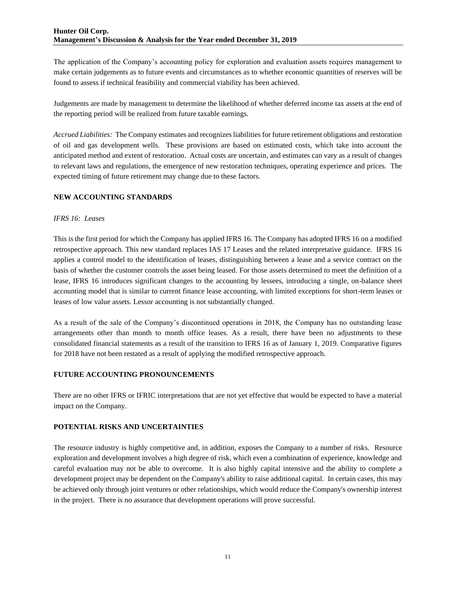The application of the Company's accounting policy for exploration and evaluation assets requires management to make certain judgements as to future events and circumstances as to whether economic quantities of reserves will be found to assess if technical feasibility and commercial viability has been achieved.

Judgements are made by management to determine the likelihood of whether deferred income tax assets at the end of the reporting period will be realized from future taxable earnings.

*Accrued Liabilities:* The Company estimates and recognizes liabilities for future retirement obligations and restoration of oil and gas development wells. These provisions are based on estimated costs, which take into account the anticipated method and extent of restoration. Actual costs are uncertain, and estimates can vary as a result of changes to relevant laws and regulations, the emergence of new restoration techniques, operating experience and prices. The expected timing of future retirement may change due to these factors.

# **NEW ACCOUNTING STANDARDS**

## *IFRS 16: Leases*

This is the first period for which the Company has applied IFRS 16. The Company has adopted IFRS 16 on a modified retrospective approach. This new standard replaces IAS 17 Leases and the related interpretative guidance. IFRS 16 applies a control model to the identification of leases, distinguishing between a lease and a service contract on the basis of whether the customer controls the asset being leased. For those assets determined to meet the definition of a lease, IFRS 16 introduces significant changes to the accounting by lessees, introducing a single, on-balance sheet accounting model that is similar to current finance lease accounting, with limited exceptions for short-term leases or leases of low value assets. Lessor accounting is not substantially changed.

As a result of the sale of the Company's discontinued operations in 2018, the Company has no outstanding lease arrangements other than month to month office leases. As a result, there have been no adjustments to these consolidated financial statements as a result of the transition to IFRS 16 as of January 1, 2019. Comparative figures for 2018 have not been restated as a result of applying the modified retrospective approach.

## **FUTURE ACCOUNTING PRONOUNCEMENTS**

There are no other IFRS or IFRIC interpretations that are not yet effective that would be expected to have a material impact on the Company.

## **POTENTIAL RISKS AND UNCERTAINTIES**

The resource industry is highly competitive and, in addition, exposes the Company to a number of risks. Resource exploration and development involves a high degree of risk, which even a combination of experience, knowledge and careful evaluation may not be able to overcome. It is also highly capital intensive and the ability to complete a development project may be dependent on the Company's ability to raise additional capital. In certain cases, this may be achieved only through joint ventures or other relationships, which would reduce the Company's ownership interest in the project. There is no assurance that development operations will prove successful.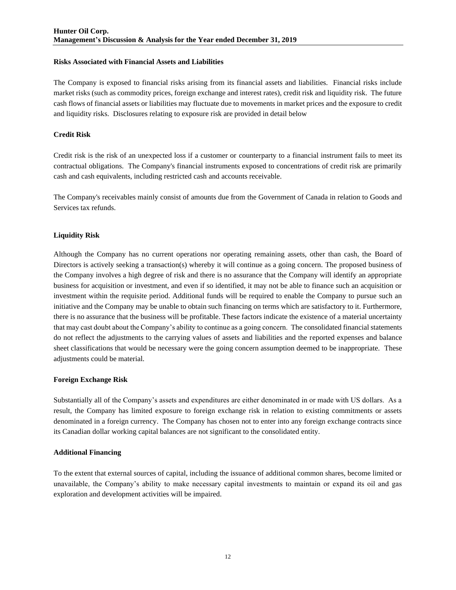## **Risks Associated with Financial Assets and Liabilities**

The Company is exposed to financial risks arising from its financial assets and liabilities. Financial risks include market risks (such as commodity prices, foreign exchange and interest rates), credit risk and liquidity risk. The future cash flows of financial assets or liabilities may fluctuate due to movements in market prices and the exposure to credit and liquidity risks. Disclosures relating to exposure risk are provided in detail below

# **Credit Risk**

Credit risk is the risk of an unexpected loss if a customer or counterparty to a financial instrument fails to meet its contractual obligations. The Company's financial instruments exposed to concentrations of credit risk are primarily cash and cash equivalents, including restricted cash and accounts receivable.

The Company's receivables mainly consist of amounts due from the Government of Canada in relation to Goods and Services tax refunds.

# **Liquidity Risk**

Although the Company has no current operations nor operating remaining assets, other than cash, the Board of Directors is actively seeking a transaction(s) whereby it will continue as a going concern. The proposed business of the Company involves a high degree of risk and there is no assurance that the Company will identify an appropriate business for acquisition or investment, and even if so identified, it may not be able to finance such an acquisition or investment within the requisite period. Additional funds will be required to enable the Company to pursue such an initiative and the Company may be unable to obtain such financing on terms which are satisfactory to it. Furthermore, there is no assurance that the business will be profitable. These factors indicate the existence of a material uncertainty that may cast doubt about the Company's ability to continue as a going concern. The consolidated financial statements do not reflect the adjustments to the carrying values of assets and liabilities and the reported expenses and balance sheet classifications that would be necessary were the going concern assumption deemed to be inappropriate. These adjustments could be material.

## **Foreign Exchange Risk**

Substantially all of the Company's assets and expenditures are either denominated in or made with US dollars. As a result, the Company has limited exposure to foreign exchange risk in relation to existing commitments or assets denominated in a foreign currency. The Company has chosen not to enter into any foreign exchange contracts since its Canadian dollar working capital balances are not significant to the consolidated entity.

## **Additional Financing**

To the extent that external sources of capital, including the issuance of additional common shares, become limited or unavailable, the Company's ability to make necessary capital investments to maintain or expand its oil and gas exploration and development activities will be impaired.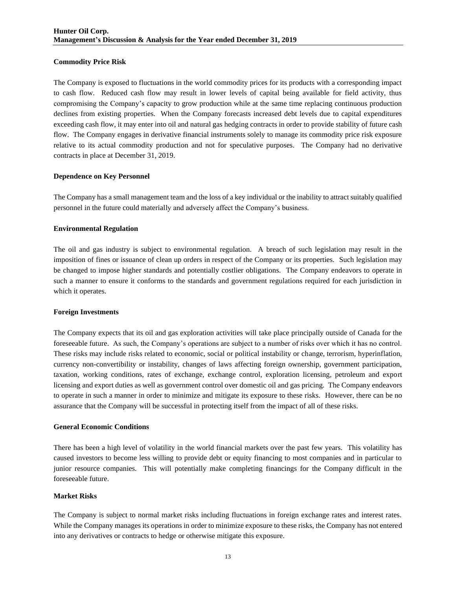## **Commodity Price Risk**

The Company is exposed to fluctuations in the world commodity prices for its products with a corresponding impact to cash flow. Reduced cash flow may result in lower levels of capital being available for field activity, thus compromising the Company's capacity to grow production while at the same time replacing continuous production declines from existing properties. When the Company forecasts increased debt levels due to capital expenditures exceeding cash flow, it may enter into oil and natural gas hedging contracts in order to provide stability of future cash flow. The Company engages in derivative financial instruments solely to manage its commodity price risk exposure relative to its actual commodity production and not for speculative purposes. The Company had no derivative contracts in place at December 31, 2019.

### **Dependence on Key Personnel**

The Company has a small management team and the loss of a key individual or the inability to attract suitably qualified personnel in the future could materially and adversely affect the Company's business.

### **Environmental Regulation**

The oil and gas industry is subject to environmental regulation. A breach of such legislation may result in the imposition of fines or issuance of clean up orders in respect of the Company or its properties. Such legislation may be changed to impose higher standards and potentially costlier obligations. The Company endeavors to operate in such a manner to ensure it conforms to the standards and government regulations required for each jurisdiction in which it operates.

### **Foreign Investments**

The Company expects that its oil and gas exploration activities will take place principally outside of Canada for the foreseeable future. As such, the Company's operations are subject to a number of risks over which it has no control. These risks may include risks related to economic, social or political instability or change, terrorism, hyperinflation, currency non-convertibility or instability, changes of laws affecting foreign ownership, government participation, taxation, working conditions, rates of exchange, exchange control, exploration licensing, petroleum and export licensing and export duties as well as government control over domestic oil and gas pricing. The Company endeavors to operate in such a manner in order to minimize and mitigate its exposure to these risks. However, there can be no assurance that the Company will be successful in protecting itself from the impact of all of these risks.

### **General Economic Conditions**

There has been a high level of volatility in the world financial markets over the past few years. This volatility has caused investors to become less willing to provide debt or equity financing to most companies and in particular to junior resource companies. This will potentially make completing financings for the Company difficult in the foreseeable future.

### **Market Risks**

The Company is subject to normal market risks including fluctuations in foreign exchange rates and interest rates. While the Company manages its operations in order to minimize exposure to these risks, the Company has not entered into any derivatives or contracts to hedge or otherwise mitigate this exposure.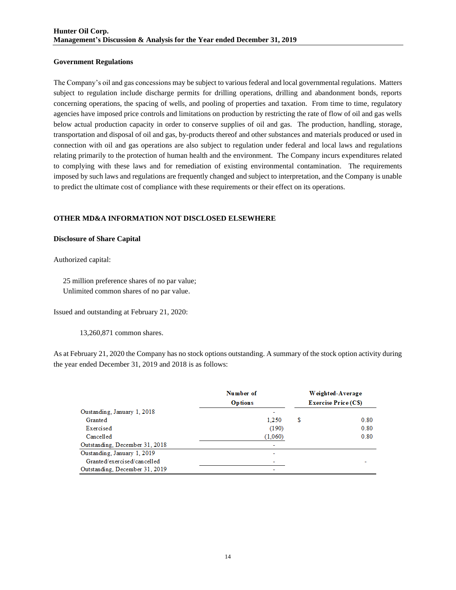## **Government Regulations**

The Company's oil and gas concessions may be subject to various federal and local governmental regulations. Matters subject to regulation include discharge permits for drilling operations, drilling and abandonment bonds, reports concerning operations, the spacing of wells, and pooling of properties and taxation. From time to time, regulatory agencies have imposed price controls and limitations on production by restricting the rate of flow of oil and gas wells below actual production capacity in order to conserve supplies of oil and gas. The production, handling, storage, transportation and disposal of oil and gas, by-products thereof and other substances and materials produced or used in connection with oil and gas operations are also subject to regulation under federal and local laws and regulations relating primarily to the protection of human health and the environment. The Company incurs expenditures related to complying with these laws and for remediation of existing environmental contamination. The requirements imposed by such laws and regulations are frequently changed and subject to interpretation, and the Company is unable to predict the ultimate cost of compliance with these requirements or their effect on its operations.

# **OTHER MD&A INFORMATION NOT DISCLOSED ELSEWHERE**

## **Disclosure of Share Capital**

Authorized capital:

 25 million preference shares of no par value; Unlimited common shares of no par value.

Issued and outstanding at February 21, 2020:

13,260,871 common shares.

As at February 21, 2020 the Company has no stock options outstanding. A summary of the stock option activity during the year ended December 31, 2019 and 2018 is as follows:

|                                | Number of<br><b>Options</b> | Weighted-Average<br><b>Exercise Price (CS)</b> |      |  |  |  |
|--------------------------------|-----------------------------|------------------------------------------------|------|--|--|--|
| Oustanding, January 1, 2018    |                             |                                                |      |  |  |  |
| Granted                        | 1.250                       | S                                              | 0.80 |  |  |  |
| Exercised                      | (190)                       |                                                | 0.80 |  |  |  |
| Cancelled                      | (1,060)                     |                                                | 0.80 |  |  |  |
| Outstanding, December 31, 2018 |                             |                                                |      |  |  |  |
| Oustanding, January 1, 2019    | -                           |                                                |      |  |  |  |
| Granted/exercised/cancelled    |                             |                                                |      |  |  |  |
| Outstanding, December 31, 2019 | $\overline{\phantom{0}}$    |                                                |      |  |  |  |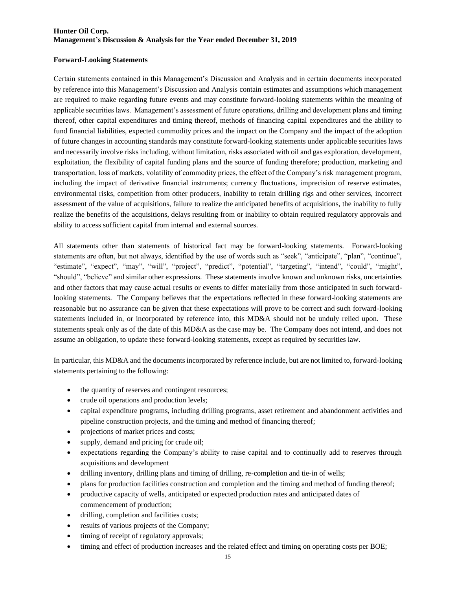### **Forward-Looking Statements**

Certain statements contained in this Management's Discussion and Analysis and in certain documents incorporated by reference into this Management's Discussion and Analysis contain estimates and assumptions which management are required to make regarding future events and may constitute forward-looking statements within the meaning of applicable securities laws. Management's assessment of future operations, drilling and development plans and timing thereof, other capital expenditures and timing thereof, methods of financing capital expenditures and the ability to fund financial liabilities, expected commodity prices and the impact on the Company and the impact of the adoption of future changes in accounting standards may constitute forward-looking statements under applicable securities laws and necessarily involve risks including, without limitation, risks associated with oil and gas exploration, development, exploitation, the flexibility of capital funding plans and the source of funding therefore; production, marketing and transportation, loss of markets, volatility of commodity prices, the effect of the Company's risk management program, including the impact of derivative financial instruments; currency fluctuations, imprecision of reserve estimates, environmental risks, competition from other producers, inability to retain drilling rigs and other services, incorrect assessment of the value of acquisitions, failure to realize the anticipated benefits of acquisitions, the inability to fully realize the benefits of the acquisitions, delays resulting from or inability to obtain required regulatory approvals and ability to access sufficient capital from internal and external sources.

All statements other than statements of historical fact may be forward-looking statements. Forward-looking statements are often, but not always, identified by the use of words such as "seek", "anticipate", "plan", "continue", "estimate", "expect", "may", "will", "project", "predict", "potential", "targeting", "intend", "could", "might", "should", "believe" and similar other expressions. These statements involve known and unknown risks, uncertainties and other factors that may cause actual results or events to differ materially from those anticipated in such forwardlooking statements. The Company believes that the expectations reflected in these forward-looking statements are reasonable but no assurance can be given that these expectations will prove to be correct and such forward-looking statements included in, or incorporated by reference into, this MD&A should not be unduly relied upon. These statements speak only as of the date of this MD&A as the case may be. The Company does not intend, and does not assume an obligation, to update these forward-looking statements, except as required by securities law.

In particular, this MD&A and the documents incorporated by reference include, but are not limited to, forward-looking statements pertaining to the following:

- the quantity of reserves and contingent resources;
- crude oil operations and production levels;
- capital expenditure programs, including drilling programs, asset retirement and abandonment activities and pipeline construction projects, and the timing and method of financing thereof;
- projections of market prices and costs;
- supply, demand and pricing for crude oil;
- expectations regarding the Company's ability to raise capital and to continually add to reserves through acquisitions and development
- drilling inventory, drilling plans and timing of drilling, re-completion and tie-in of wells;
- plans for production facilities construction and completion and the timing and method of funding thereof;
- productive capacity of wells, anticipated or expected production rates and anticipated dates of commencement of production;
- drilling, completion and facilities costs;
- results of various projects of the Company;
- timing of receipt of regulatory approvals;
- timing and effect of production increases and the related effect and timing on operating costs per BOE;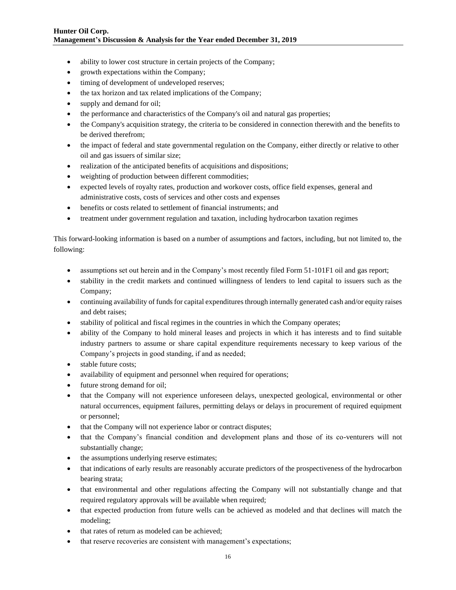- ability to lower cost structure in certain projects of the Company;
- growth expectations within the Company;
- timing of development of undeveloped reserves;
- the tax horizon and tax related implications of the Company;
- supply and demand for oil;
- the performance and characteristics of the Company's oil and natural gas properties;
- the Company's acquisition strategy, the criteria to be considered in connection therewith and the benefits to be derived therefrom;
- the impact of federal and state governmental regulation on the Company, either directly or relative to other oil and gas issuers of similar size;
- realization of the anticipated benefits of acquisitions and dispositions;
- weighting of production between different commodities;
- expected levels of royalty rates, production and workover costs, office field expenses, general and administrative costs, costs of services and other costs and expenses
- benefits or costs related to settlement of financial instruments; and
- treatment under government regulation and taxation, including hydrocarbon taxation regimes

This forward-looking information is based on a number of assumptions and factors, including, but not limited to, the following:

- assumptions set out herein and in the Company's most recently filed Form 51-101F1 oil and gas report;
- stability in the credit markets and continued willingness of lenders to lend capital to issuers such as the Company;
- continuing availability of funds for capital expenditures through internally generated cash and/or equity raises and debt raises;
- stability of political and fiscal regimes in the countries in which the Company operates;
- ability of the Company to hold mineral leases and projects in which it has interests and to find suitable industry partners to assume or share capital expenditure requirements necessary to keep various of the Company's projects in good standing, if and as needed;
- stable future costs;
- availability of equipment and personnel when required for operations;
- future strong demand for oil;
- that the Company will not experience unforeseen delays, unexpected geological, environmental or other natural occurrences, equipment failures, permitting delays or delays in procurement of required equipment or personnel;
- that the Company will not experience labor or contract disputes;
- that the Company's financial condition and development plans and those of its co-venturers will not substantially change;
- the assumptions underlying reserve estimates;
- that indications of early results are reasonably accurate predictors of the prospectiveness of the hydrocarbon bearing strata;
- that environmental and other regulations affecting the Company will not substantially change and that required regulatory approvals will be available when required;
- that expected production from future wells can be achieved as modeled and that declines will match the modeling;
- that rates of return as modeled can be achieved;
- that reserve recoveries are consistent with management's expectations;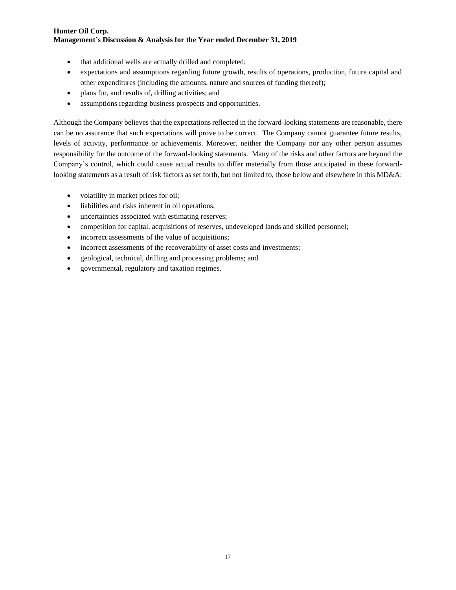- that additional wells are actually drilled and completed;
- expectations and assumptions regarding future growth, results of operations, production, future capital and other expenditures (including the amounts, nature and sources of funding thereof);
- plans for, and results of, drilling activities; and
- assumptions regarding business prospects and opportunities.

Although the Company believes that the expectations reflected in the forward-looking statements are reasonable, there can be no assurance that such expectations will prove to be correct. The Company cannot guarantee future results, levels of activity, performance or achievements. Moreover, neither the Company nor any other person assumes responsibility for the outcome of the forward-looking statements. Many of the risks and other factors are beyond the Company's control, which could cause actual results to differ materially from those anticipated in these forwardlooking statements as a result of risk factors as set forth, but not limited to, those below and elsewhere in this MD&A:

- volatility in market prices for oil;
- liabilities and risks inherent in oil operations;
- uncertainties associated with estimating reserves;
- competition for capital, acquisitions of reserves, undeveloped lands and skilled personnel;
- incorrect assessments of the value of acquisitions;
- incorrect assessments of the recoverability of asset costs and investments;
- geological, technical, drilling and processing problems; and
- governmental, regulatory and taxation regimes.